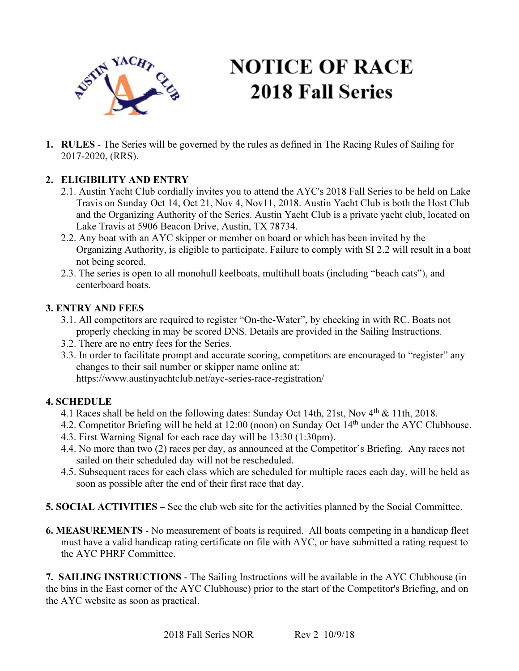

# **NOTICE OF RACE 2018 Fall Series**

1. RULES - The Series will be governed by the rules as defined in The Racing Rules of Sailing for 2017-2020, (RRS).

## 2. ELIGIBILITY AND ENTRY

- 2.1. Austin Yacht Club cordially invites you to attend the AYC's 2018 Fall Series to be held on Lake Travis on Sunday Oct 14, Oct 21, Nov 4, Nov11, 2018. Austin Yacht Club is both the Host Club and the Organizing Authority of the Series. Austin Yacht Club is a private yacht club, located on Lake Travis at 5906 Beacon Drive, Austin, TX 78734.
- 2.2. Any boat with an AYC skipper or member on board or which has been invited by the Organizing Authority, is eligible to participate. Failure to comply with SI 2.2 will result in a boat not being scored.
- 2.3. The series is open to all monohull keelboats, multihull boats (including "beach cats"), and centerboard boats.

#### 3. ENTRY AND FEES

- 3.1. All competitors are required to register "On-the-Water", by checking in with RC. Boats not properly checking in may be scored DNS. Details are provided in the Sailing Instructions.
- 3.2. There are no entry fees for the Series.
- 3.3. In order to facilitate prompt and accurate scoring, competitors are encouraged to "register" any changes to their sail number or skipper name online at: https://www.austinyachtclub.net/ayc-series-race-registration/

#### 4. SCHEDULE

- 4.1 Races shall be held on the following dates: Sunday Oct 14th, 21st, Nov 4<sup>th</sup> & 11th, 2018.
- 4.2. Competitor Briefing will be held at 12:00 (noon) on Sunday Oct 14th under the AYC Clubhouse.
- 4.3. First Warning Signal for each race day will be 13:30 (1:30pm).
- 4.4. No more than two (2) races per day, as announced at the Competitor's Briefing. Any races not sailed on their scheduled day will not be rescheduled.
- 4.5. Subsequent races for each class which are scheduled for multiple races each day, will be held as soon as possible after the end of their first race that day.
- 5. SOCIAL ACTIVITIES See the club web site for the activities planned by the Social Committee.
- 6. MEASUREMENTS No measurement of boats is required. All boats competing in a handicap fleet must have a valid handicap rating certificate on file with AYC, or have submitted a rating request to the AYC PHRF Committee.

7. SAILING INSTRUCTIONS - The Sailing Instructions will be available in the AYC Clubhouse (in the bins in the East corner of the AYC Clubhouse) prior to the start of the Competitor's Briefing, and on the AYC website as soon as practical.